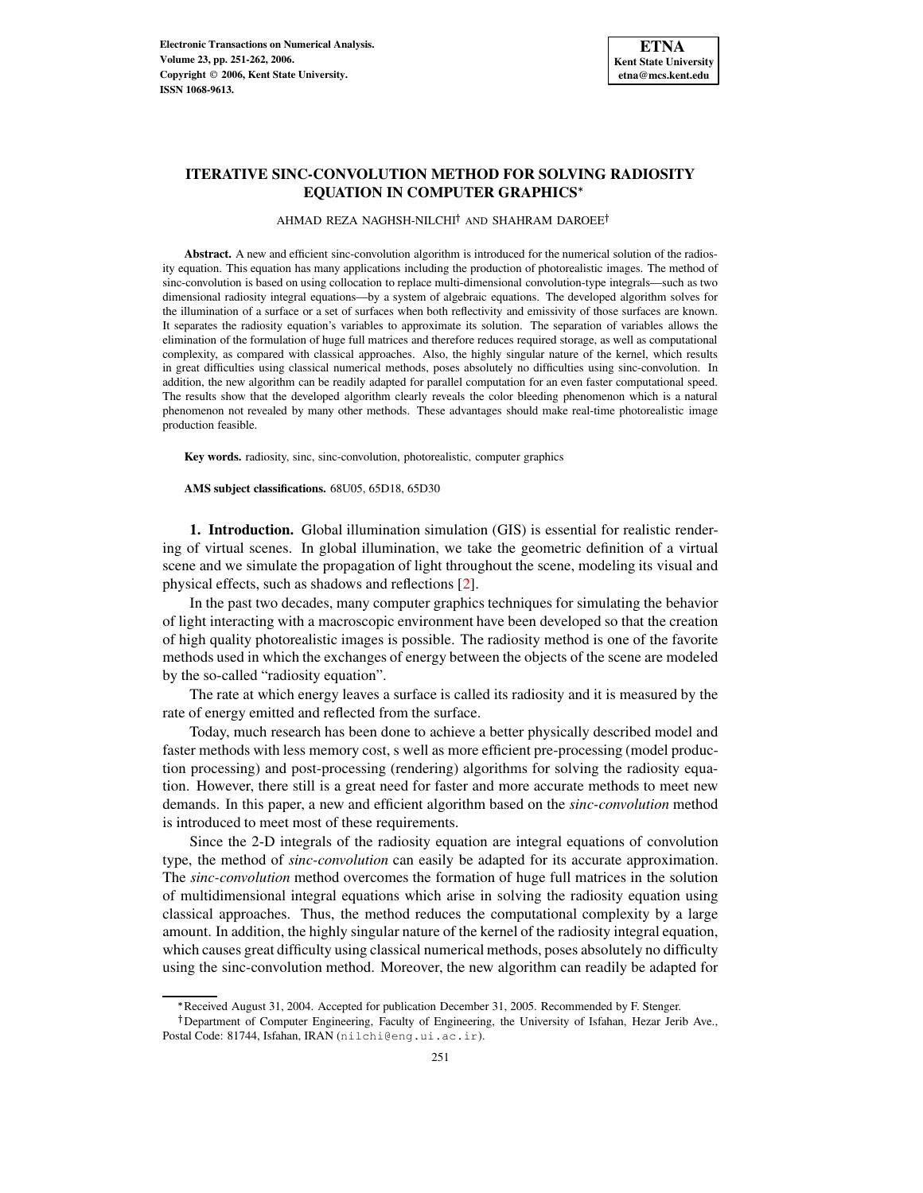# **ITERATIVE SINC-CONVOLUTION METHOD FOR SOLVING RADIOSITY EQUATION IN COMPUTER GRAPHICS**

AHMAD REZA NAGHSH-NILCHI† AND SHAHRAM DAROEE†

**Abstract.** A new and efficient sinc-convolution algorithm is introduced for the numerical solution of the radiosity equation. This equation has many applications including the production of photorealistic images. The method of sinc-convolution is based on using collocation to replace multi-dimensional convolution-type integrals—such as two dimensional radiosity integral equations—by a system of algebraic equations. The developed algorithm solves for the illumination of a surface or a set of surfaces when both reflectivity and emissivity of those surfaces are known. It separates the radiosity equation's variables to approximate its solution. The separation of variables allows the elimination of the formulation of huge full matrices and therefore reduces required storage, as well as computational complexity, as compared with classical approaches. Also, the highly singular nature of the kernel, which results in great difficulties using classical numerical methods, poses absolutely no difficulties using sinc-convolution. In addition, the new algorithm can be readily adapted for parallel computation for an even faster computational speed. The results show that the developed algorithm clearly reveals the color bleeding phenomenon which is a natural phenomenon not revealed by many other methods. These advantages should make real-time photorealistic image production feasible.

**Key words.** radiosity, sinc, sinc-convolution, photorealistic, computer graphics

**AMS subject classifications.** 68U05, 65D18, 65D30

**1. Introduction.** Global illumination simulation (GIS) is essential for realistic rendering of virtual scenes. In global illumination, we take the geometric definition of a virtual scene and we simulate the propagation of light throughout the scene, modeling its visual and physical effects, such as shadows and reflections [\[2\]](#page-10-0).

In the past two decades, many computer graphics techniques for simulating the behavior of light interacting with a macroscopic environment have been developed so that the creation of high quality photorealistic images is possible. The radiosity method is one of the favorite methods used in which the exchanges of energy between the objects of the scene are modeled by the so-called "radiosity equation".

The rate at which energy leaves a surface is called its radiosity and it is measured by the rate of energy emitted and reflected from the surface.

Today, much research has been done to achieve a better physically described model and faster methods with less memory cost, s well as more efficient pre-processing (model production processing) and post-processing (rendering) algorithms for solving the radiosity equation. However, there still is a great need for faster and more accurate methods to meet new demands. In this paper, a new and efficient algorithm based on the *sinc-convolution* method is introduced to meet most of these requirements.

Since the 2-D integrals of the radiosity equation are integral equations of convolution type, the method of *sinc-convolution* can easily be adapted for its accurate approximation. The *sinc-convolution* method overcomes the formation of huge full matrices in the solution of multidimensional integral equations which arise in solving the radiosity equation using classical approaches. Thus, the method reduces the computational complexity by a large amount. In addition, the highly singular nature of the kernel of the radiosity integral equation, which causes great difficulty using classical numerical methods, poses absolutely no difficulty using the sinc-convolution method. Moreover, the new algorithm can readily be adapted for

<sup>-</sup> Received August 31, 2004. Accepted for publication December 31, 2005. Recommended by F. Stenger.

<sup>&</sup>lt;sup>†</sup>Department of Computer Engineering, Faculty of Engineering, the University of Isfahan, Hezar Jerib Ave., Postal Code: 81744, Isfahan, IRAN (nilchi@eng.ui.ac.ir).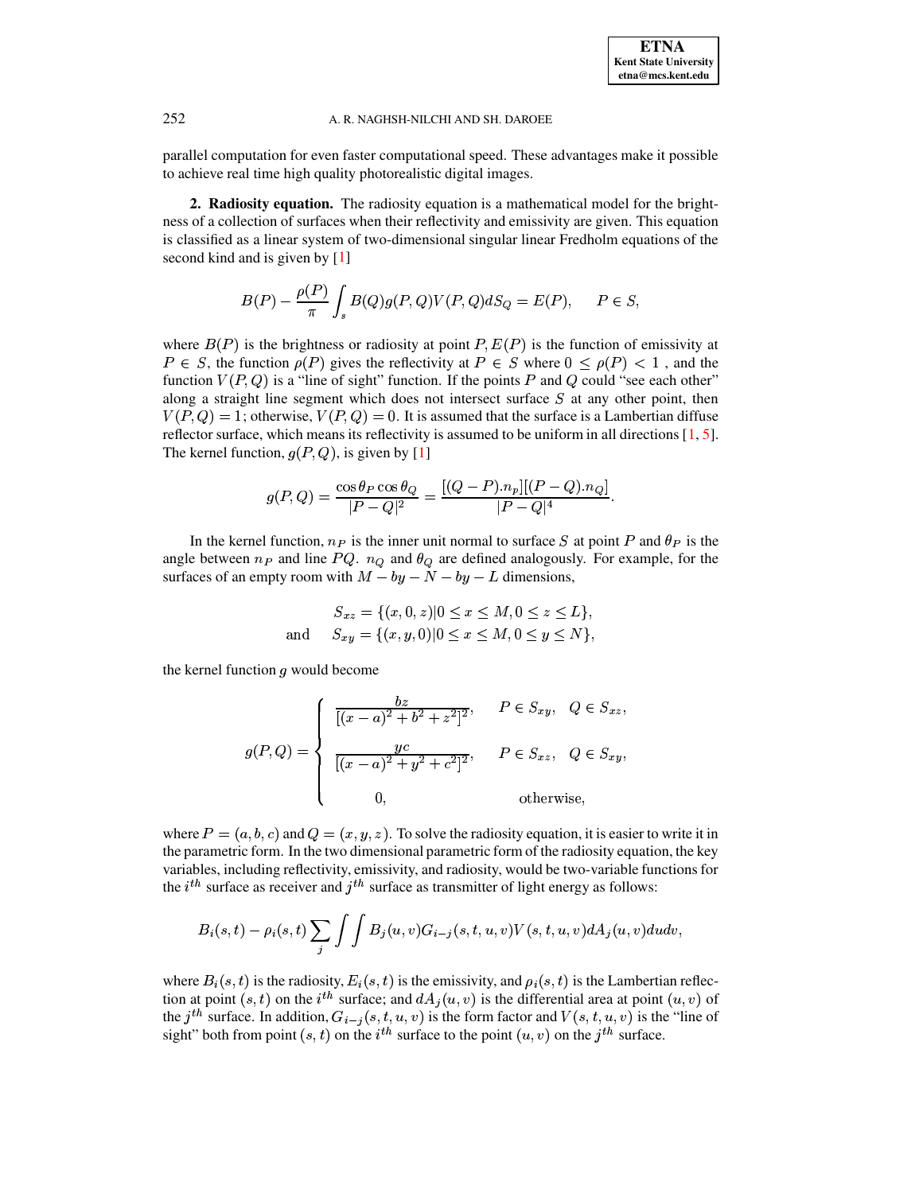parallel computation for even faster computational speed. These advantages make it possible to achieve real time high quality photorealistic digital images.

**2. Radiosity equation.** The radiosity equation is a mathematical model for the brightness of a collection of surfaces when their reflectivity and emissivity are given. This equation is classified as a linear system of two-dimensional singular linear Fredholm equations of the second kind and is given by [\[1\]](#page-10-1)

$$
B(P) - \frac{\rho(P)}{\pi} \int_s B(Q)g(P,Q)V(P,Q)dS_Q = E(P), \quad P \in S,
$$

where  $B(P)$  is the brightness or radiosity at point P,  $E(P)$  is the function of emissivity at  $P \in S$ , the function  $\rho(P)$  gives the reflectivity at  $P \in S$  where  $0 \leq \rho(P) < 1$ , and the function  $V(P,Q)$  is a "line of sight" function. If the points P and Q could "see each other" along a straight line segment which does not intersect surface  $S$  at any other point, then  $V(P,Q) = 1$ ; otherwise,  $V(P,Q) = 0$ . It is assumed that the surface is a Lambertian diffuse reflector surface, which means its reflectivity is assumed to be uniform in all directions [\[1,](#page-10-1) [5\]](#page-10-2). The kernel function,  $g(P, Q)$ , is given by [\[1\]](#page-10-1)

$$
g(P,Q) = \frac{\cos \theta_P \cos \theta_Q}{|P-Q|^2} = \frac{[(Q-P).n_p][(P-Q).n_Q]}{|P-Q|^4}.
$$

In the kernel function,  $n_P$  is the inner unit normal to surface S at point P and  $\theta_P$  is the angle between  $n_P$  and line  $PQ$ .  $n_Q$  and  $\theta_Q$  are defined analogously. For example, for the surfaces of an empty room with  $M - by - N - by - L$  dimensions,

$$
S_{xz} = \{(x, 0, z) | 0 \le x \le M, 0 \le z \le L\},\
$$
  
and 
$$
S_{xy} = \{(x, y, 0) | 0 \le x \le M, 0 \le y \le N\},\
$$

the kernel function  $g$  would become

$$
g(P,Q) = \begin{cases} \frac{bz}{[(x-a)^2 + b^2 + z^2]^2}, & P \in S_{xy}, & Q \in S_{xz}, \\ \frac{yc}{[(x-a)^2 + y^2 + c^2]^2}, & P \in S_{xz}, & Q \in S_{xy}, \\ 0, & \text{otherwise}, \end{cases}
$$

where  $P = (a,b,c)$  and  $Q = (x,y,z)$ . To solve the radiosity equation, it is easier to write it in the parametric form. In the two dimensional parametric form of the radiosity equation, the key variables, including reflectivity, emissivity, and radiosity, would be two-variable functions for the  $i^{th}$  surface as receiver and  $j^{th}$  surface as transmitter of light energy as follows:

$$
B_i(s,t) - \rho_i(s,t) \sum_j \int \int B_j(u,v) G_{i-j}(s,t,u,v) V(s,t,u,v) dA_j(u,v) du dv,
$$

where  $B_i(s,t)$  is the radiosity,  $E_i(s,t)$  is the emissivity, and  $\rho_i(s,t)$  is the Lambertian reflecwhere  $B_i(s, t)$  is the radiosity,  $E_i(s, t)$  is the emissivity, and  $\rho_i(s, t)$  is the Lambertian reflection at point  $(s, t)$  on the  $i^{th}$  surface; and  $dA_i(u, v)$  is the differential area at point  $(u, v)$  of tion at point  $(s, t)$  on the  $i^{th}$  surface; and  $dA_j(u, v)$  is the differential area at point  $(u, v)$  of the  $j^{th}$  surface. In addition,  $G_{i-j}(s, t, u, v)$  is the form factor and  $V(s, t, u, v)$  is the "line of sight" both from point  $(s, t)$  on the  $i<sup>th</sup>$  surface to the point  $(u, v)$  on the  $j<sup>th</sup>$  surface.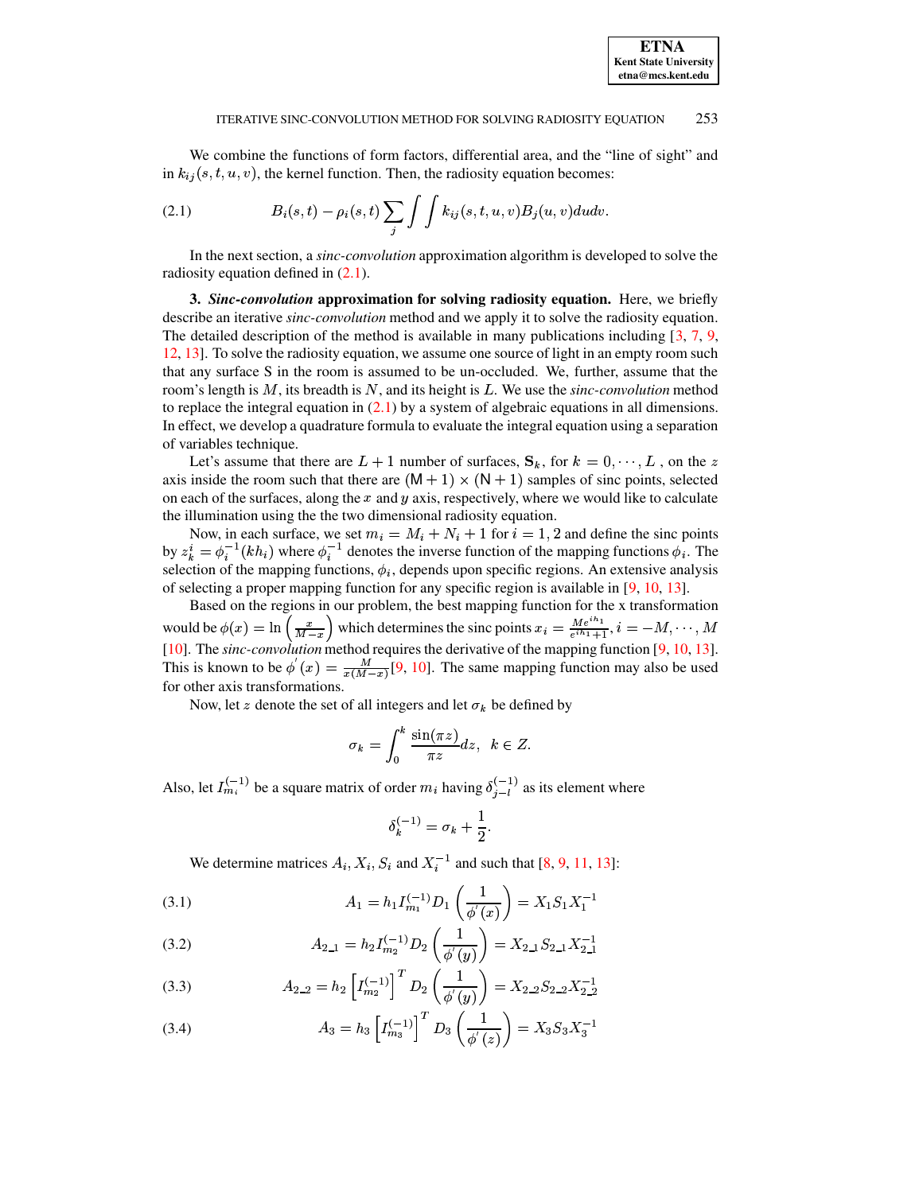We combine the functions of form factors, differential area, and the "line of sight" and in  $k_{ij}(s, t, u, v)$ , the kernel function. Then, the radiosity equation becomes:

<span id="page-2-0"></span>(2.1) 
$$
B_i(s,t) - \rho_i(s,t) \sum_j \int \int k_{ij}(s,t,u,v) B_j(u,v) du dv.
$$

In the next section, a *sinc-convolution* approximation algorithm is developed to solve the radiosity equation defined in [\(2.1\)](#page-2-0).

**3.** *Sinc-convolution* **approximation for solving radiosity equation.** Here, we briefly describe an iterative *sinc-convolution* method and we apply it to solve the radiosity equation. The detailed description of the method is available in many publications including [\[3,](#page-10-3) [7,](#page-10-4) [9,](#page-11-0) [12,](#page-11-1) [13\]](#page-11-2). To solve the radiosity equation, we assume one source of light in an empty room such that any surface S in the room is assumed to be un-occluded. We, further, assume that the room's length is  $M$ , its breadth is  $N$ , and its height is  $L$ . We use the *sinc-convolution* method to replace the integral equation in  $(2.1)$  by a system of algebraic equations in all dimensions. In effect, we develop a quadrature formula to evaluate the integral equation using a separation of variables technique.

Let's assume that there are  $L + 1$  number of surfaces,  $\mathbf{S}_k$ , for  $k = 0, \dots, L$ , on the z axis inside the room such that there are  $(M + 1) \times (N + 1)$  samples of sinc points, selected on each of the surfaces, along the  $x$  and  $y$  axis, respectively, where we would like to calculate the illumination using the the two dimensional radiosity equation.

Now, in each surface, we set  $m_i = M_i + N_i + 1$  for  $i = 1, 2$  and define the sinc points by  $z_k^i = \phi_i^{-1}(kh_i)$  where  $\phi_i^{-1}$  denotes the inverse function of the mapping functions  $\phi_i$ . The selection of the mapping functions,  $\phi_i$ , depends upon specific regions. An extensive analysis of selecting a proper mapping function for any specific region is available in [\[9,](#page-11-0) [10,](#page-11-3) [13\]](#page-11-2).

Based on the regions in our problem, the best mapping function for the x transformation would be  $\phi(x) = \ln \left( \frac{x}{M-x} \right)$  which determines the sinc points  $x_i = \frac{Me^{ih_1}}{e^{ih_1}+1}$ ,  $i = -M, \dots, M$ [\[10\]](#page-11-3). The *sinc-convolution* method requires the derivative of the mapping function [\[9,](#page-11-0) [10,](#page-11-3) [13\]](#page-11-2). This is known to be  $\phi'(x) = \frac{M}{x(M - x)} [9, 10]$  $\phi'(x) = \frac{M}{x(M - x)} [9, 10]$  $\phi'(x) = \frac{M}{x(M - x)} [9, 10]$  $\phi'(x) = \frac{M}{x(M - x)} [9, 10]$ . The same mapping function may also be used for other axis transformations.

Now, let z denote the set of all integers and let  $\sigma_k$  be defined by

$$
\sigma_k = \int_0^k \frac{\sin(\pi z)}{\pi z} dz, \ \ k \in Z.
$$

Also, let  $I_{m_i}^{(-1)}$  be a square matrix of order  $m_i$  having  $\delta_{i-1}^{(-1)}$  as its element where

$$
\delta_k^{(-1)}=\sigma_k+\frac{1}{2}.
$$

<span id="page-2-1"></span>We determine matrices  $A_i$ ,  $X_i$ ,  $S_i$  and  $X_i^{-1}$  and such that [\[8,](#page-11-4) [9,](#page-11-0) [11,](#page-11-5) [13\]](#page-11-2):

(3.1) 
$$
A_1 = h_1 I_{m_1}^{(-1)} D_1 \left( \frac{1}{\phi'(x)} \right) = X_1 S_1 X_1^{-1}
$$

(3.2) 
$$
A_{2-1} = h_2 I_{m_2}^{(-1)} D_2 \left( \frac{1}{\phi'(y)} \right) = X_{2-1} S_{2-1} X_{2-1}^{-1}
$$

(3.3) 
$$
A_{2,2} = h_2 \left[ I_{m_2}^{(-1)} \right]^T D_2 \left( \frac{1}{\phi'(y)} \right) = X_{2,2} S_{2,2} X_{2,2}^{-1}
$$

(3.4) 
$$
A_3 = h_3 \left[ I_{m_3}^{(-1)} \right]^T D_3 \left( \frac{1}{\phi'(z)} \right) = X_3 S_3 X_3^{-1}
$$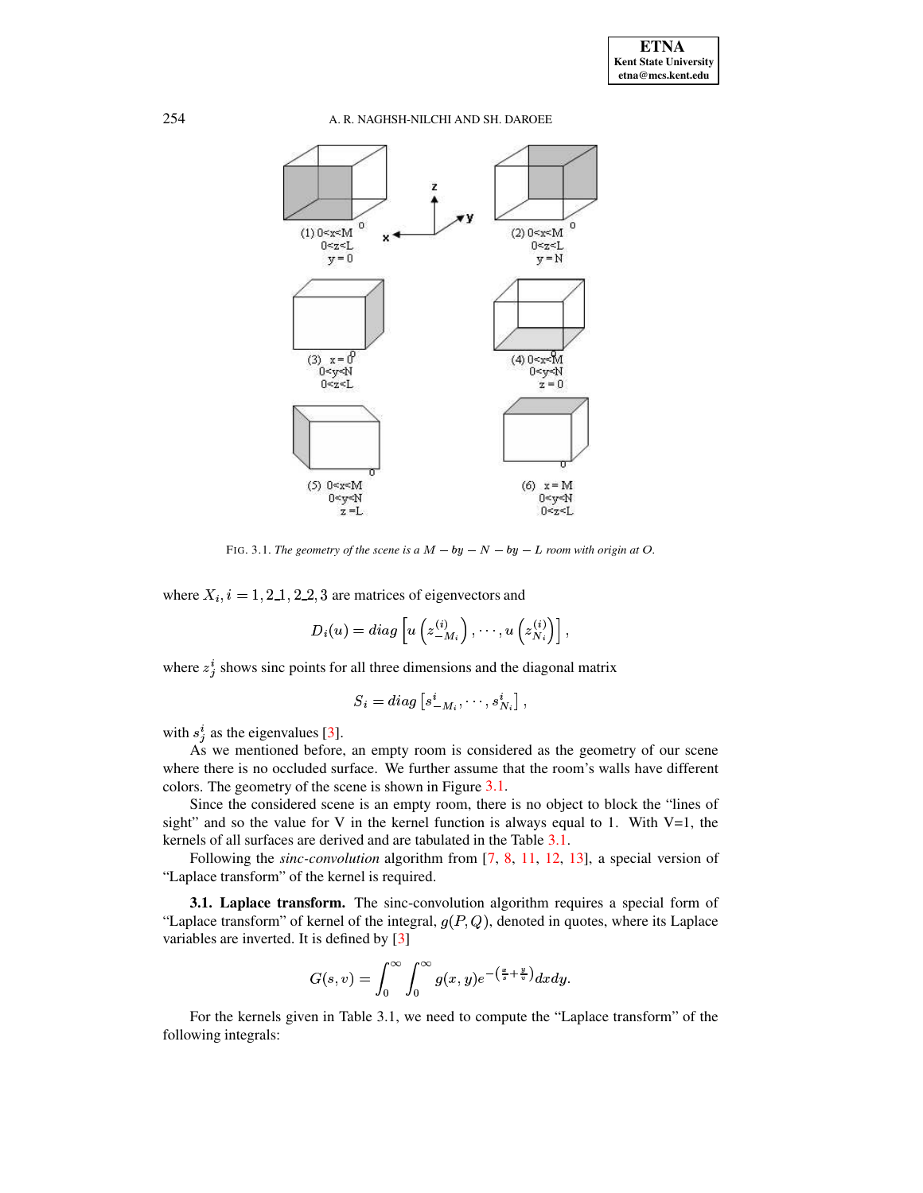

FIG. 3.1. The geometry of the scene is a  $M - by - N - by - L$  room with origin at O.

<span id="page-3-0"></span>where  $X_i$ ,  $i = 1, 2, 1, 2, 2, 3$  are matrices of eigenvectors and

$$
D_i(u) = diag\left[u\left(z_{-M_i}^{(i)}\right), \cdots, u\left(z_{N_i}^{(i)}\right)\right],
$$

where  $z_i^i$  shows sinc points for all three dimensions and the diagonal matrix

$$
S_i = diag\left[s_{-M_i}^i, \cdots, s_{N_i}^i\right],
$$

with  $s_j^i$  as the eigenvalues [3].

As we mentioned before, an empty room is considered as the geometry of our scene where there is no occluded surface. We further assume that the room's walls have different colors. The geometry of the scene is shown in Figure 3.1.

Since the considered scene is an empty room, there is no object to block the "lines of sight" and so the value for V in the kernel function is always equal to 1. With  $V=1$ , the kernels of all surfaces are derived and are tabulated in the Table 3.1.

Following the *sinc-convolution* algorithm from  $[7, 8, 11, 12, 13]$ , a special version of "Laplace transform" of the kernel is required.

<span id="page-3-1"></span>3.1. Laplace transform. The sinc-convolution algorithm requires a special form of "Laplace transform" of kernel of the integral,  $g(P,Q)$ , denoted in quotes, where its Laplace variables are inverted. It is defined by [3]

$$
G(s,v)=\int_0^\infty\int_0^\infty g(x,y)e^{-\left(\frac{x}{s}+\frac{y}{v}\right)}dxdy.
$$

For the kernels given in Table 3.1, we need to compute the "Laplace transform" of the following integrals:

254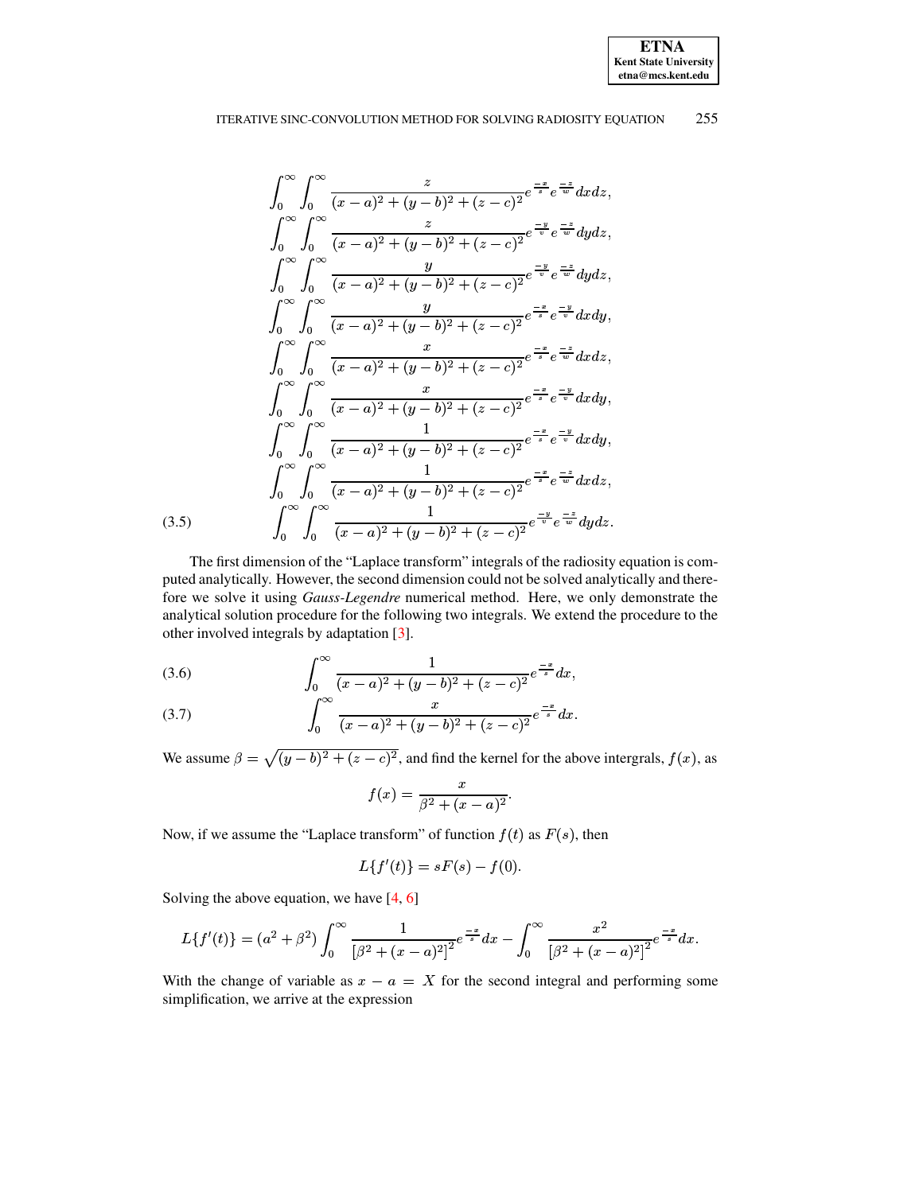**ETNA Kent State University**  $etna@mcs. kent.edu$ 

<span id="page-4-1"></span>
$$
\int_{0}^{\infty} \int_{0}^{\infty} \frac{z}{(x-a)^2 + (y-b)^2 + (z-c)^2} e^{\frac{-x}{s}} e^{\frac{-z}{w}} dx dz,
$$
\n
$$
\int_{0}^{\infty} \int_{0}^{\infty} \frac{z}{(x-a)^2 + (y-b)^2 + (z-c)^2} e^{\frac{-y}{v}} e^{\frac{-z}{w}} dy dz,
$$
\n
$$
\int_{0}^{\infty} \int_{0}^{\infty} \frac{y}{(x-a)^2 + (y-b)^2 + (z-c)^2} e^{\frac{-y}{v}} e^{\frac{-z}{w}} dy dz,
$$
\n
$$
\int_{0}^{\infty} \int_{0}^{\infty} \frac{y}{(x-a)^2 + (y-b)^2 + (z-c)^2} e^{\frac{-z}{s}} e^{\frac{-y}{v}} dx dy,
$$
\n
$$
\int_{0}^{\infty} \int_{0}^{\infty} \frac{x}{(x-a)^2 + (y-b)^2 + (z-c)^2} e^{\frac{-z}{s}} e^{\frac{-z}{w}} dx dz,
$$
\n
$$
\int_{0}^{\infty} \int_{0}^{\infty} \frac{x}{(x-a)^2 + (y-b)^2 + (z-c)^2} e^{\frac{-z}{s}} e^{\frac{-z}{v}} dx dy,
$$
\n
$$
\int_{0}^{\infty} \int_{0}^{\infty} \frac{1}{(x-a)^2 + (y-b)^2 + (z-c)^2} e^{\frac{-z}{s}} e^{\frac{-z}{w}} dx dy,
$$
\n
$$
\int_{0}^{\infty} \int_{0}^{\infty} \frac{1}{(x-a)^2 + (y-b)^2 + (z-c)^2} e^{\frac{-z}{s}} e^{\frac{-z}{w}} dx dz,
$$
\n(3.5)

The first dimension of the "Laplace transform" integrals of the radiosity equation is computed analytically. However, the second dimension could not be solved analytically and therefore we solve it using Gauss-Legendre numerical method. Here, we only demonstrate the analytical solution procedure for the following two integrals. We extend the procedure to the other involved integrals by adaptation [3].

<span id="page-4-0"></span>(3.6) 
$$
\int_0^\infty \frac{1}{(x-a)^2 + (y-b)^2 + (z-c)^2} e^{\frac{-x}{s}} dx
$$

(3.7) 
$$
\int_0^\infty \frac{x}{(x-a)^2 + (y-b)^2 + (z-c)^2} e^{\frac{-x}{s}} dx
$$

We assume  $\beta = \sqrt{(y-b)^2 + (z-c)^2}$ , and find the kernel for the above intergrals,  $f(x)$ , as

$$
f(x) = \frac{x}{\beta^2 + (x - a)^2}.
$$

Now, if we assume the "Laplace transform" of function  $f(t)$  as  $F(s)$ , then

$$
L{f'(t)} = sF(s) - f(0).
$$

Solving the above equation, we have  $[4, 6]$ 

$$
L\{f'(t)\} = (a^2 + \beta^2) \int_0^\infty \frac{1}{\left[\beta^2 + (x-a)^2\right]^2} e^{\frac{-x}{s}} dx - \int_0^\infty \frac{x^2}{\left[\beta^2 + (x-a)^2\right]^2} e^{\frac{-x}{s}} dx.
$$

With the change of variable as  $x - a = X$  for the second integral and performing some simplification, we arrive at the expression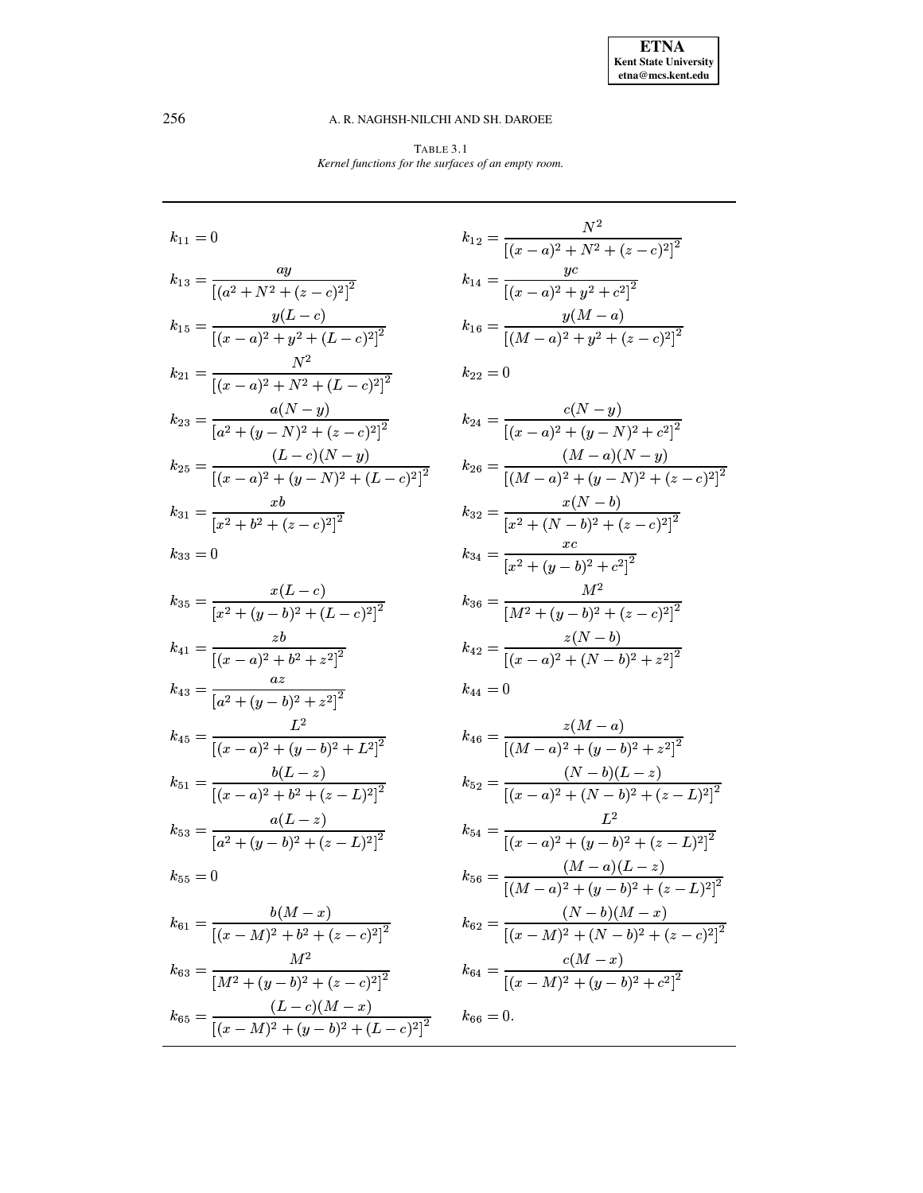TABLE  $3.1\,$ Kernel functions for the surfaces of an empty room.

<span id="page-5-0"></span>

| $k_{11}=0$                                                        |
|-------------------------------------------------------------------|
| $k_{13} = \frac{ay}{[(a^2 + N^2 + (z - c)^2)]^2}$                 |
| $k_{15} = \frac{y(L-c)}{[(x-a)^2 + y^2 + (L-c)^2]^2}$             |
| $k_{21} = \frac{N^2}{\left[ (x-a)^2 + N^2 + (L-c)^2 \right]^2}$   |
| $k_{23} = \frac{a(N-y)}{\left[a^2 + (y-N)^2 + (z-c)^2\right]^2}$  |
| $k_{25} = \frac{(L-c)(N-y)}{[(x-a)^2 + (y-N)^2 + (L-c)^2]^2}$     |
| $k_{31} = \frac{xb}{[x^2 + b^2 + (z - c)^2]^2}$                   |
| $k_{33}=0$                                                        |
| $k_{35} = \frac{x(L-c)}{[x^2 + (y-b)^2 + (L-c)^2]^2}$             |
| $k_{41} = \frac{zb}{[(x-a)^2 + b^2 + z^2]^2}$                     |
| $k_{43} = \frac{az}{[a^2 + (y - b)^2 + z^2]^2}$                   |
| $k_{45} = \frac{L^2}{[(x-a)^2 + (y-b)^2 + L^2]^2}$                |
| $k_{51} = \frac{b(L-z)}{[(x-a)^2 + b^2 + (z-L)^2]^2}$             |
| $k_{53} = \frac{a(L-z)}{[a^2 + (y-b)^2 + (z-L)^2]^2}$             |
| $k_{55}=0$                                                        |
| $k_{61} = \frac{b(M-x)}{[(x-M)^2 + b^2 + (z-c)^2]^2}$             |
| $k_{63} = \frac{M^2}{\left[M^2 + (y - b)^2 + (z - c)^2\right]^2}$ |

 $k_{65} = \frac{(L-c)(M-x)}{[(x-M)^2 + (y-b)^2 + (L-c)^2]^2}$ 

$$
k_{12} = \frac{N^2}{\left[ (x-a)^2 + N^2 + (z-c)^2 \right]^2}
$$
  
\n
$$
k_{14} = \frac{yc}{\left[ (x-a)^2 + y^2 + c^2 \right]^2}
$$
  
\n
$$
k_{16} = \frac{y(M-a)}{\left[ (M-a)^2 + y^2 + (z-c)^2 \right]^2}
$$
  
\n
$$
k_{22} = 0
$$

$$
k_{24} = \frac{c(N-y)}{[(x-a)^2 + (y-N)^2 + c^2]^2}
$$
  
\n
$$
k_{26} = \frac{(M-a)(N-y)}{[(M-a)^2 + (y-N)^2 + (z-c)^2]^2}
$$
  
\n
$$
k_{32} = \frac{x(N-b)}{[x^2 + (N-b)^2 + (z-c)^2]^2}
$$
  
\n
$$
k_{34} = \frac{xc}{[x^2 + (y-b)^2 + c^2]^2}
$$
  
\n
$$
k_{36} = \frac{M^2}{[M^2 + (y-b)^2 + (z-c)^2]^2}
$$
  
\n
$$
k_{42} = \frac{z(N-b)}{[(x-a)^2 + (N-b)^2 + z^2]^2}
$$
  
\n
$$
k_{44} = 0
$$

$$
k_{46} = \frac{z(M-a)}{[(M-a)^2 + (y-b)^2 + z^2]^2}
$$
  
\n
$$
k_{52} = \frac{(N-b)(L-z)}{[(x-a)^2 + (N-b)^2 + (z-L)^2]^2}
$$
  
\n
$$
k_{54} = \frac{L^2}{[(x-a)^2 + (y-b)^2 + (z-L)^2]^2}
$$
  
\n
$$
k_{56} = \frac{(M-a)(L-z)}{[(M-a)^2 + (y-b)^2 + (z-L)^2]^2}
$$
  
\n
$$
k_{62} = \frac{(N-b)(M-x)}{[(x-M)^2 + (N-b)^2 + (z-c)^2]^2}
$$
  
\n
$$
k_{64} = \frac{c(M-x)}{[(x-M)^2 + (y-b)^2 + c^2]^2}
$$
  
\n
$$
k_{66} = 0.
$$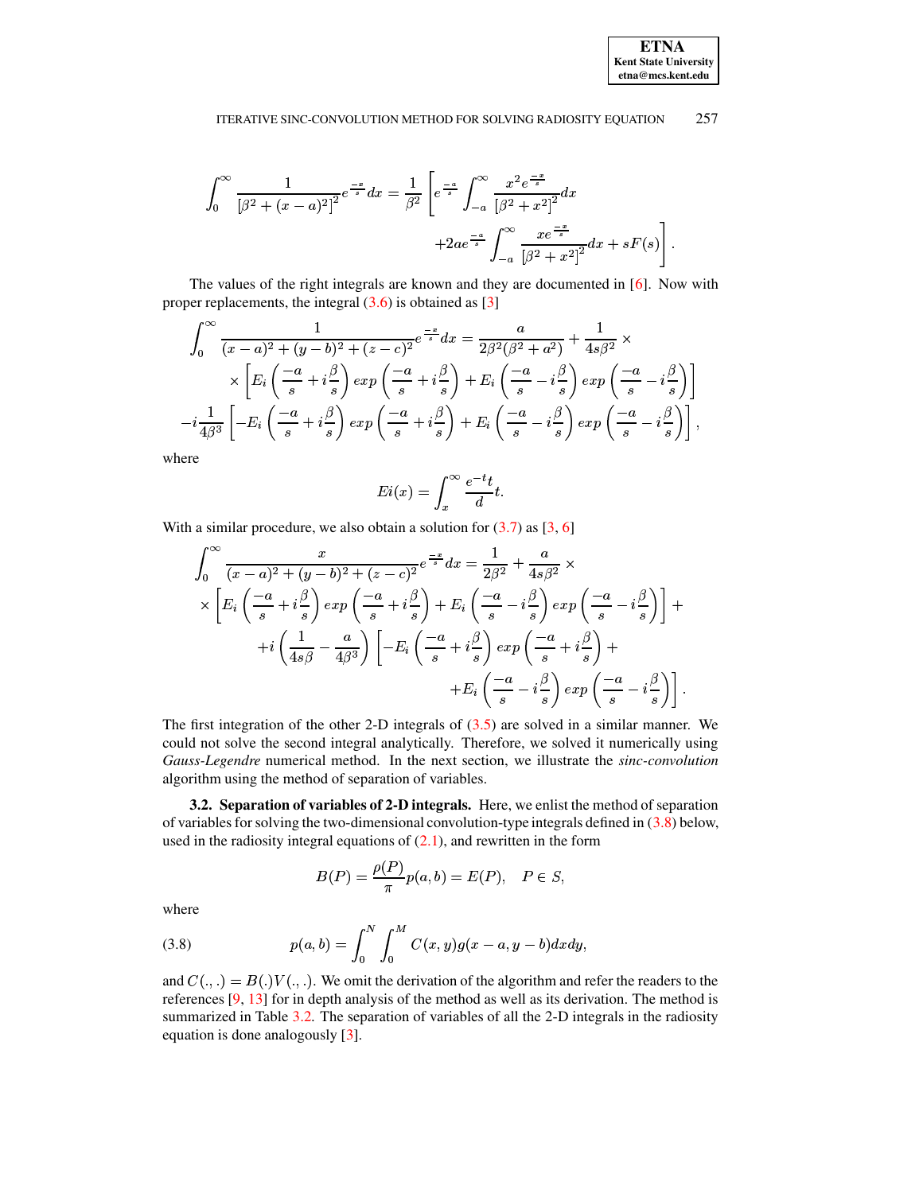#### 257 ITERATIVE SINC-CONVOLUTION METHOD FOR SOLVING RADIOSITY EQUATION

$$
\int_0^\infty \frac{1}{\left[\beta^2 + (x - a)^2\right]^2} e^{-\frac{x}{s}} dx = \frac{1}{\beta^2} \left[ e^{-\frac{a}{s}} \int_{-a}^\infty \frac{x^2 e^{-\frac{x}{s}}}{\left[\beta^2 + x^2\right]^2} dx + 2ae^{\frac{-a}{s}} \int_{-a}^\infty \frac{xe^{-\frac{x}{s}}}{\left[\beta^2 + x^2\right]^2} dx + sF(s) \right]
$$

The values of the right integrals are known and they are documented in [6]. Now with proper replacements, the integral  $(3.6)$  is obtained as [3]

$$
\int_0^\infty \frac{1}{(x-a)^2 + (y-b)^2 + (z-c)^2} e^{-\frac{x}{s}} dx = \frac{a}{2\beta^2(\beta^2 + a^2)} + \frac{1}{4s\beta^2} \times \times \left[ E_i \left( \frac{-a}{s} + i\frac{\beta}{s} \right) \exp\left( \frac{-a}{s} + i\frac{\beta}{s} \right) + E_i \left( \frac{-a}{s} - i\frac{\beta}{s} \right) \exp\left( \frac{-a}{s} - i\frac{\beta}{s} \right) \right]
$$
  
- $i \frac{1}{4\beta^3} \left[ -E_i \left( \frac{-a}{s} + i\frac{\beta}{s} \right) \exp\left( \frac{-a}{s} + i\frac{\beta}{s} \right) + E_i \left( \frac{-a}{s} - i\frac{\beta}{s} \right) \exp\left( \frac{-a}{s} - i\frac{\beta}{s} \right) \right],$ 

where

$$
Ei(x) = \int_x^{\infty} \frac{e^{-t}t}{d} t.
$$

With a similar procedure, we also obtain a solution for  $(3.7)$  as  $[3, 6]$ 

$$
\int_0^\infty \frac{x}{(x-a)^2 + (y-b)^2 + (z-c)^2} e^{-\frac{x}{s}} dx = \frac{1}{2\beta^2} + \frac{a}{4s\beta^2} \times
$$
  
 
$$
\times \left[ E_i \left( \frac{-a}{s} + i\frac{\beta}{s} \right) exp\left( \frac{-a}{s} + i\frac{\beta}{s} \right) + E_i \left( \frac{-a}{s} - i\frac{\beta}{s} \right) exp\left( \frac{-a}{s} - i\frac{\beta}{s} \right) \right] +
$$
  
+
$$
+ i \left( \frac{1}{4s\beta} - \frac{a}{4\beta^3} \right) \left[ -E_i \left( \frac{-a}{s} + i\frac{\beta}{s} \right) exp\left( \frac{-a}{s} + i\frac{\beta}{s} \right) + \right.
$$
  
+
$$
E_i \left( \frac{-a}{s} - i\frac{\beta}{s} \right) exp\left( \frac{-a}{s} - i\frac{\beta}{s} \right) \right].
$$

The first integration of the other 2-D integrals of  $(3.5)$  are solved in a similar manner. We could not solve the second integral analytically. Therefore, we solved it numerically using Gauss-Legendre numerical method. In the next section, we illustrate the sinc-convolution algorithm using the method of separation of variables.

3.2. Separation of variables of 2-D integrals. Here, we enlist the method of separation of variables for solving the two-dimensional convolution-type integrals defined in  $(3.8)$  below, used in the radiosity integral equations of  $(2.1)$ , and rewritten in the form

$$
B(P) = \frac{\rho(P)}{\pi} p(a, b) = E(P), \quad P \in S,
$$

where

<span id="page-6-0"></span>(3.8) 
$$
p(a,b) = \int_0^N \int_0^M C(x,y)g(x-a,y-b)dxdy,
$$

and  $C(.,.) = B(.)V(.,.).$  We omit the derivation of the algorithm and refer the readers to the references  $[9, 13]$  for in depth analysis of the method as well as its derivation. The method is summarized in Table 3.2. The separation of variables of all the 2-D integrals in the radiosity equation is done analogously [3].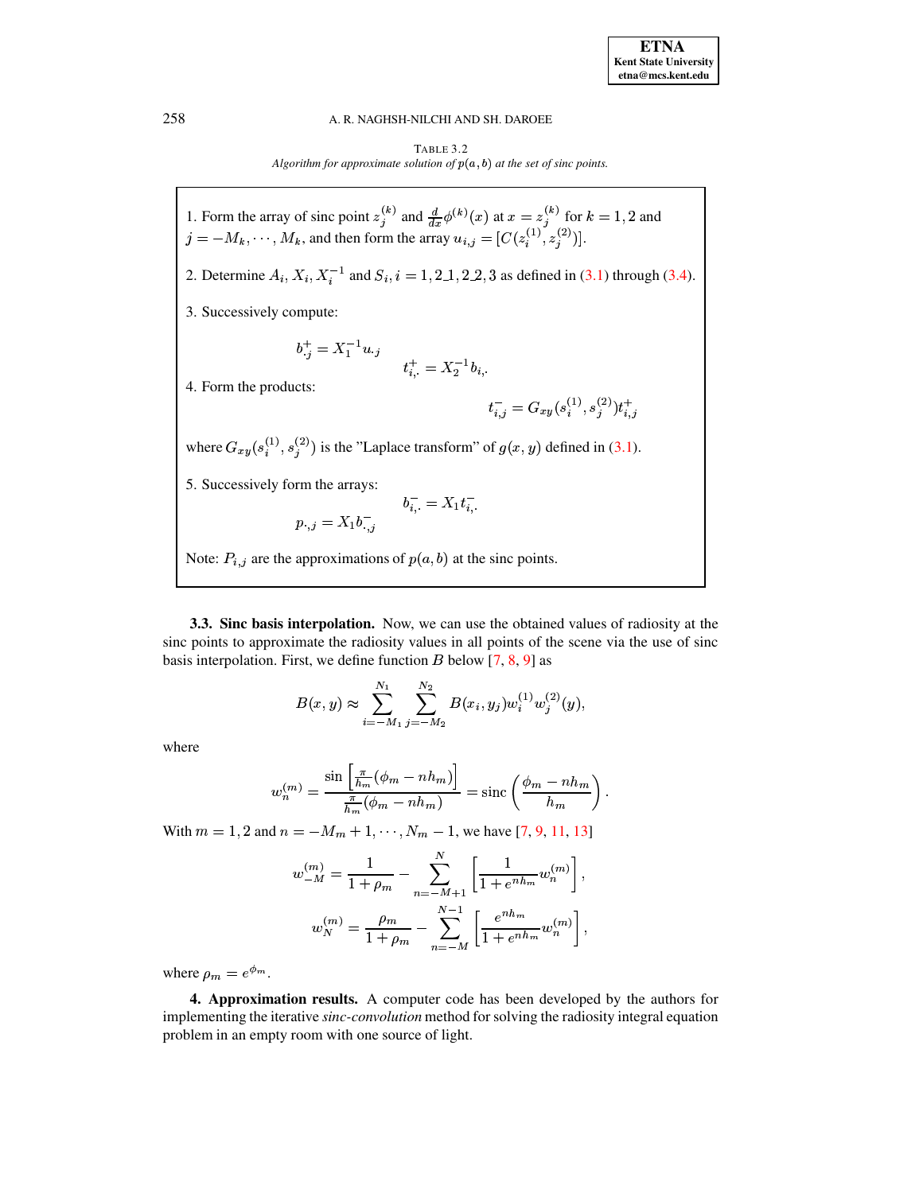TABLE 3.2 Algorithm for approximate solution of  $p(a, b)$  at the set of sinc points.

<span id="page-7-0"></span>1. Form the array of sinc point  $z_j^{(k)}$  and  $\frac{d}{dx}\phi^{(k)}(x)$  at  $x = z_j^{(k)}$  for  $k = 1, 2$  and  $j = -M_k, \dots, M_k$ , and then form the array  $u_{i,j} = [C(z_i^{(1)}, z_j^{(2)})]$ . 2. Determine  $A_i$ ,  $X_i$ ,  $X_i^{-1}$  and  $S_i$ ,  $i = 1, 2, 1, 2, 2, 3$  as defined in (3.1) through (3.4). 3. Successively compute:  $b_j^+ = X_1^{-1} u_{\cdot j}$ <br> $t_{i, \cdot}^+ = X_2^{-1} b_{i, \cdot}$ 4. Form the products:  $t_{i,j}^- = G_{xy}(s_i^{(1)}, s_j^{(2)}) t_{i,j}^+$ where  $G_{xy}(s_i^{(1)}, s_i^{(2)})$  is the "Laplace transform" of  $g(x, y)$  defined in (3.1). 5. Successively form the arrays:  $\label{eq:1} b_{i,\cdot}^-=X_1t_{i,\cdot}^-$ <br> $\label{eq:1} b_{i,\cdot}^-=X_1t_{i,\cdot}^-$ Note:  $P_{i,j}$  are the approximations of  $p(a, b)$  at the sinc points.

3.3. Sinc basis interpolation. Now, we can use the obtained values of radiosity at the sinc points to approximate the radiosity values in all points of the scene via the use of sinc basis interpolation. First, we define function B below  $[7, 8, 9]$  as

$$
B(x,y) \approx \sum_{i=-M_1}^{N_1} \sum_{j=-M_2}^{N_2} B(x_i, y_j) w_i^{(1)} w_j^{(2)}(y),
$$

where

$$
w_n^{(m)} = \frac{\sin\left[\frac{\pi}{h_m}(\phi_m - nh_m)\right]}{\frac{\pi}{h_m}(\phi_m - nh_m)} = \text{sinc}\left(\frac{\phi_m - nh_m}{h_m}\right)
$$

With  $m = 1, 2$  and  $n = -M_m + 1, \dots, N_m - 1$ , we have [7, 9, 11, 13]

$$
w_{-M}^{(m)} = \frac{1}{1 + \rho_m} - \sum_{n=-M+1}^{N} \left[ \frac{1}{1 + e^{nh_m}} w_n^{(m)} \right],
$$
  

$$
w_N^{(m)} = \frac{\rho_m}{1 + \rho_m} - \sum_{n=-M}^{N-1} \left[ \frac{e^{nh_m}}{1 + e^{nh_m}} w_n^{(m)} \right],
$$

where  $\rho_m = e^{\phi_m}$ .

4. Approximation results. A computer code has been developed by the authors for implementing the iterative sinc-convolution method for solving the radiosity integral equation problem in an empty room with one source of light.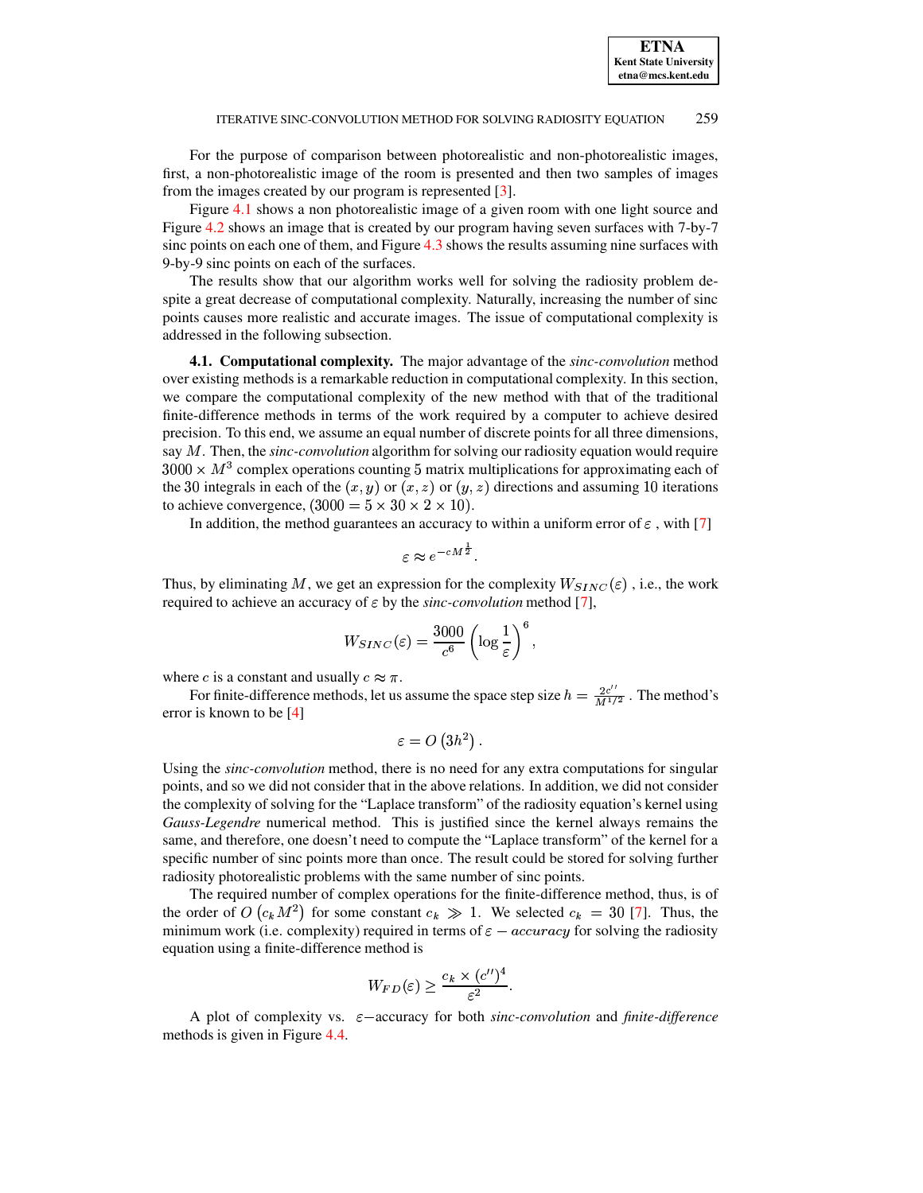For the purpose of comparison between photorealistic and non-photorealistic images, first, a non-photorealistic image of the room is presented and then two samples of images from the images created by our program is represented [\[3\]](#page-10-3).

Figure [4.1](#page-9-0) shows a non photorealistic image of a given room with one light source and Figure [4.2](#page-9-1) shows an image that is created by our program having seven surfaces with 7-by-7 sinc points on each one of them, and Figure [4.3](#page-9-2) shows the results assuming nine surfaces with 9-by-9 sinc points on each of the surfaces.

The results show that our algorithm works well for solving the radiosity problem despite a great decrease of computational complexity. Naturally, increasing the number of sinc points causes more realistic and accurate images. The issue of computational complexity is addressed in the following subsection.

**4.1. Computational complexity.** The major advantage of the *sinc-convolution* method over existing methods is a remarkable reduction in computational complexity. In this section, we compare the computational complexity of the new method with that of the traditional finite-difference methods in terms of the work required by a computer to achieve desired precision. To this end, we assume an equal number of discrete points for all three dimensions, say M. Then, the *sinc-convolution* algorithm for solving our radiosity equation would require  $3000 \times M<sup>3</sup>$  complex operations counting 5 matrix multiplications for approximating each of the 30 integrals in each of the  $(x, y)$  or  $(x, z)$  or  $(y, z)$  directions and assuming 10 iterations to achieve convergence,  $(3000 = 5 \times 30 \times 2 \times 10)$ .

In addition, the method guarantees an accuracy to within a uniform error of  $\varepsilon$ , with [\[7\]](#page-10-4)

$$
\varepsilon \approx e^{-cM^{\frac{1}{2}}}.
$$

Thus, by eliminating M, we get an expression for the complexity  $W_{SINC}(\varepsilon)$ , i.e., the work required to achieve an accuracy of  $\varepsilon$  by the *sinc-convolution* method [\[7\]](#page-10-4),

$$
W_{SINC}(\varepsilon) = \frac{3000}{c^6} \left( \log \frac{1}{\varepsilon} \right)^6,
$$

where c is a constant and usually  $c \approx \pi$ .

For finite-difference methods, let us assume the space step size  $h = \frac{2c''}{M^{1/2}}$ . The method's error is known to be [\[4\]](#page-10-5)

$$
\varepsilon = O\left( 3h^2 \right).
$$

Using the *sinc-convolution* method, there is no need for any extra computations for singular points, and so we did not consider that in the above relations. In addition, we did not consider the complexity of solving for the "Laplace transform" of the radiosity equation's kernel using *Gauss-Legendre* numerical method. This is justified since the kernel always remains the same, and therefore, one doesn't need to compute the "Laplace transform" of the kernel for a specific number of sinc points more than once. The result could be stored for solving further radiosity photorealistic problems with the same number of sinc points.

The required number of complex operations for the finite-difference method, thus, is of the order of  $O(c_k M^2)$  for some constant  $c_k \gg 1$ . We selected  $c_k = 30$  [\[7\]](#page-10-4). Thus, the minimum work (i.e. complexity) required in terms of  $\varepsilon - accuracy$  for solving the radiosity equation using a finite-difference method is

$$
W_{FD}(\varepsilon) \geq \frac{c_k \times (c'')^4}{\varepsilon^2}.
$$

A plot of complexity vs.  $\varepsilon$ -accuracy for both *sinc-convolution* and *finite-difference* methods is given in Figure [4.4.](#page-10-7)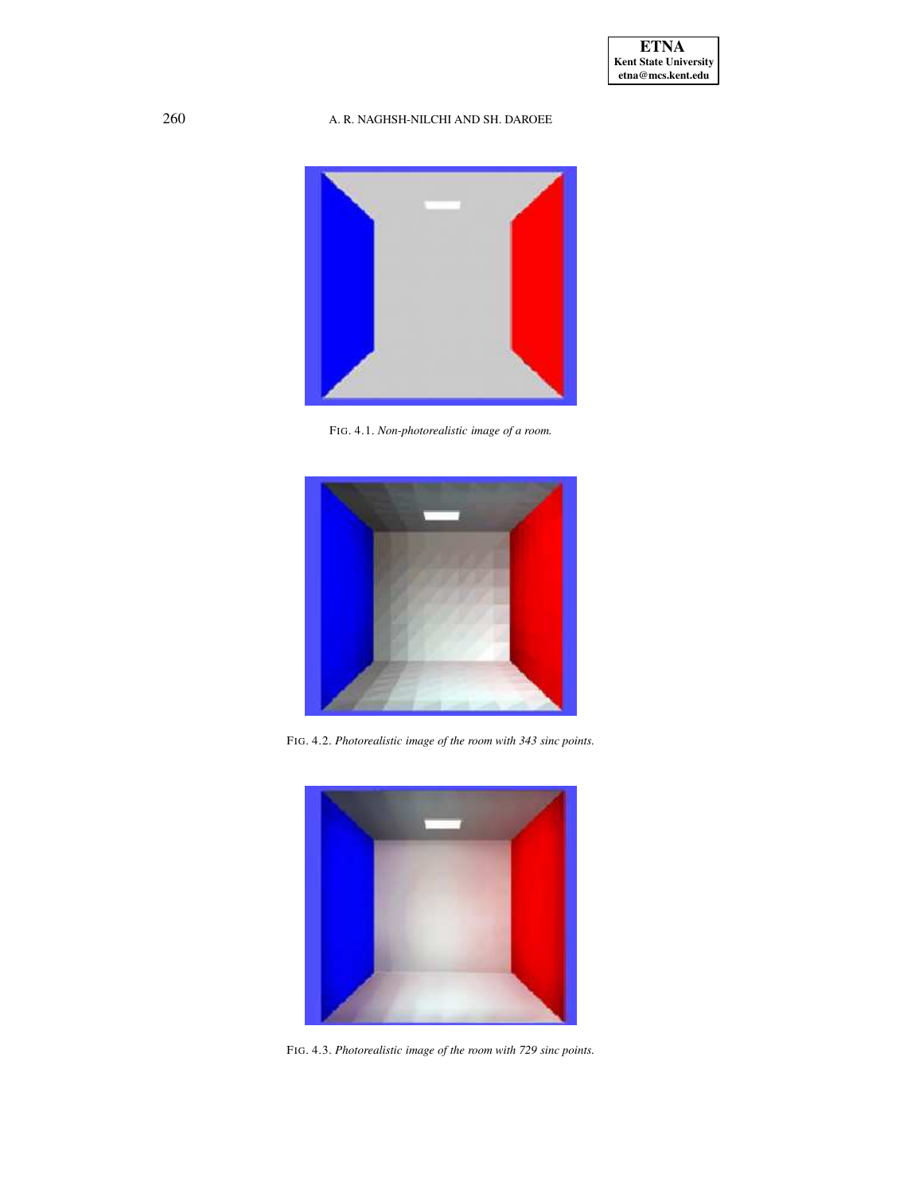

FIG. 4.1. *Non-photorealistic image of a room.*

<span id="page-9-0"></span>

FIG. 4.2. *Photorealistic image of the room with 343 sinc points.*

<span id="page-9-2"></span><span id="page-9-1"></span>

FIG. 4.3. *Photorealistic image of the room with 729 sinc points.*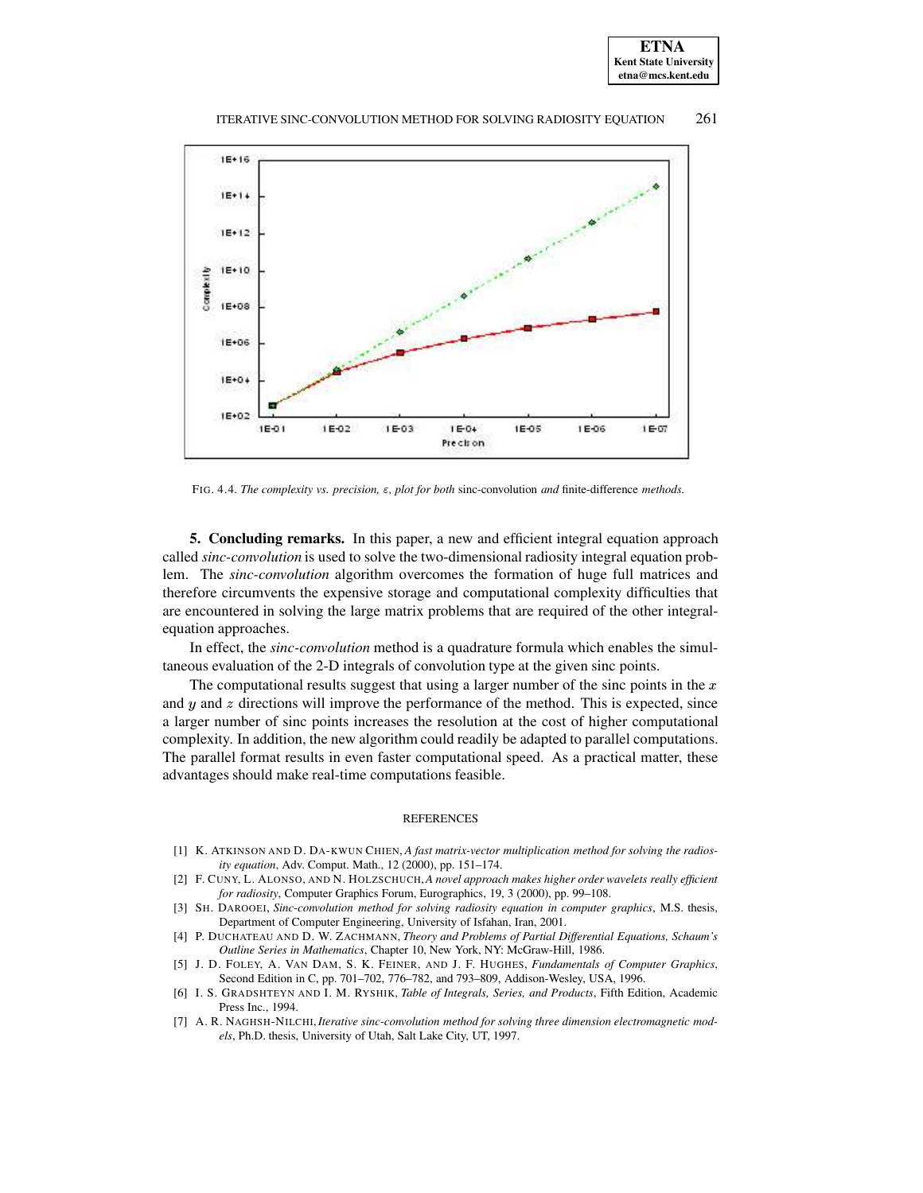



FIG. 4.4. *The complexity vs. precision,* <sup>3</sup>*, plot for both* sinc-convolution *and* finite-difference *methods.*

<span id="page-10-7"></span>**5. Concluding remarks.** In this paper, a new and efficient integral equation approach called *sinc-convolution* is used to solve the two-dimensional radiosity integral equation problem. The *sinc-convolution* algorithm overcomes the formation of huge full matrices and therefore circumvents the expensive storage and computational complexity difficulties that are encountered in solving the large matrix problems that are required of the other integralequation approaches.

In effect, the *sinc-convolution* method is a quadrature formula which enables the simultaneous evaluation of the 2-D integrals of convolution type at the given sinc points.

The computational results suggest that using a larger number of the sinc points in the  $x$ and  $y$  and  $z$  directions will improve the performance of the method. This is expected, since a larger number of sinc points increases the resolution at the cost of higher computational complexity. In addition, the new algorithm could readily be adapted to parallel computations. The parallel format results in even faster computational speed. As a practical matter, these advantages should make real-time computations feasible.

### **REFERENCES**

- <span id="page-10-1"></span>[1] K. ATKINSON AND D. DA-KWUN CHIEN, *A fast matrix-vector multiplication method for solving the radiosity equation*, Adv. Comput. Math., 12 (2000), pp. 151–174.
- <span id="page-10-0"></span>[2] F. CUNY, L. ALONSO, AND N. HOLZSCHUCH,*A novel approach makes higher order wavelets really efficient for radiosity*, Computer Graphics Forum, Eurographics, 19, 3 (2000), pp. 99–108.
- <span id="page-10-3"></span>[3] SH. DAROOEI, *Sinc-convolution method for solving radiosity equation in computer graphics*, M.S. thesis, Department of Computer Engineering, University of Isfahan, Iran, 2001.
- <span id="page-10-5"></span>[4] P. DUCHATEAU AND D. W. ZACHMANN, *Theory and Problems of Partial Differential Equations, Schaum's Outline Series in Mathematics*, Chapter 10, New York, NY: McGraw-Hill, 1986.
- <span id="page-10-2"></span>[5] J. D. FOLEY, A. VAN DAM, S. K. FEINER, AND J. F. HUGHES, *Fundamentals of Computer Graphics*, Second Edition in C, pp. 701–702, 776–782, and 793–809, Addison-Wesley, USA, 1996.
- <span id="page-10-6"></span>[6] I. S. GRADSHTEYN AND I. M. RYSHIK, *Table of Integrals, Series, and Products*, Fifth Edition, Academic Press Inc., 1994.
- <span id="page-10-4"></span>[7] A. R. NAGHSH-NILCHI,*Iterative sinc-convolution method for solving three dimension electromagnetic models*, Ph.D. thesis, University of Utah, Salt Lake City, UT, 1997.